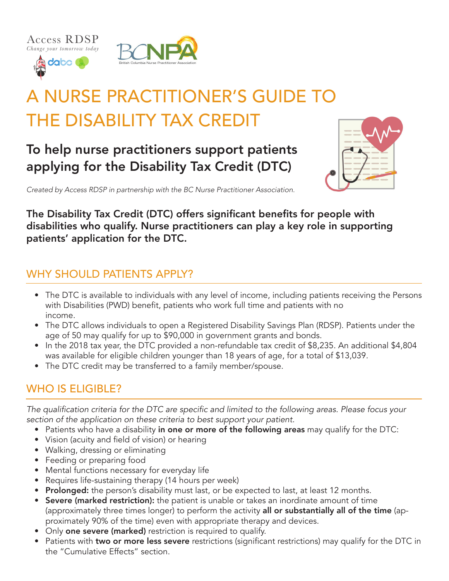dabo (



# A NURSE PRACTITIONER'S GUIDE TO THE DISABILITY TAX CREDIT

# To help nurse practitioners support patients applying for the Disability Tax Credit (DTC)



*Created by Access RDSP in partnership with the BC Nurse Practitioner Association.*

The Disability Tax Credit (DTC) offers significant benefits for people with disabilities who qualify. Nurse practitioners can play a key role in supporting patients' application for the DTC.

# WHY SHOULD PATIENTS APPLY?

- The DTC is available to individuals with any level of income, including patients receiving the Persons with Disabilities (PWD) benefit, patients who work full time and patients with no income.
- The DTC allows individuals to open a Registered Disability Savings Plan (RDSP). Patients under the age of 50 may qualify for up to \$90,000 in government grants and bonds.
- In the 2018 tax year, the DTC provided a non-refundable tax credit of \$8,235. An additional \$4,804 was available for eligible children younger than 18 years of age, for a total of \$13,039.
- The DTC credit may be transferred to a family member/spouse.

# WHO IS ELIGIBLE?

The qualification criteria for the DTC are specific and limited to the following areas. Please focus your section of the application on these criteria to best support your patient.

- Patients who have a disability in one or more of the following areas may qualify for the DTC:
- Vision (acuity and field of vision) or hearing
- Walking, dressing or eliminating
- Feeding or preparing food
- Mental functions necessary for everyday life
- Requires life-sustaining therapy (14 hours per week)
- Prolonged: the person's disability must last, or be expected to last, at least 12 months.
- Severe (marked restriction): the patient is unable or takes an inordinate amount of time (approximately three times longer) to perform the activity all or substantially all of the time (approximately 90% of the time) even with appropriate therapy and devices.
- Only one severe (marked) restriction is required to qualify.
- Patients with two or more less severe restrictions (significant restrictions) may qualify for the DTC in the "Cumulative Effects" section.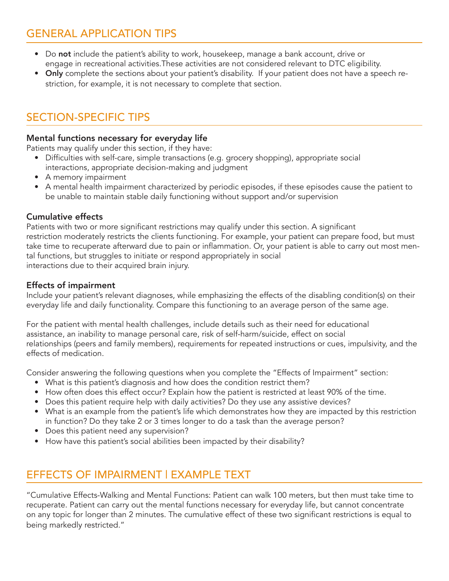# GENERAL APPLICATION TIPS

- Do not include the patient's ability to work, housekeep, manage a bank account, drive or engage in recreational activities.These activities are not considered relevant to DTC eligibility.
- Only complete the sections about your patient's disability. If your patient does not have a speech restriction, for example, it is not necessary to complete that section.

# SECTION-SPECIFIC TIPS

#### Mental functions necessary for everyday life

Patients may qualify under this section, if they have:

- Difficulties with self-care, simple transactions (e.g. grocery shopping), appropriate social interactions, appropriate decision-making and judgment
- A memory impairment
- A mental health impairment characterized by periodic episodes, if these episodes cause the patient to be unable to maintain stable daily functioning without support and/or supervision

#### Cumulative effects

Patients with two or more significant restrictions may qualify under this section. A significant restriction moderately restricts the clients functioning. For example, your patient can prepare food, but must take time to recuperate afterward due to pain or inflammation. Or, your patient is able to carry out most mental functions, but struggles to initiate or respond appropriately in social interactions due to their acquired brain injury.

#### Effects of impairment

Include your patient's relevant diagnoses, while emphasizing the effects of the disabling condition(s) on their everyday life and daily functionality. Compare this functioning to an average person of the same age.

For the patient with mental health challenges, include details such as their need for educational assistance, an inability to manage personal care, risk of self-harm/suicide, effect on social relationships (peers and family members), requirements for repeated instructions or cues, impulsivity, and the effects of medication.

Consider answering the following questions when you complete the "Effects of Impairment" section:

- What is this patient's diagnosis and how does the condition restrict them?
- How often does this effect occur? Explain how the patient is restricted at least 90% of the time.
- Does this patient require help with daily activities? Do they use any assistive devices?
- What is an example from the patient's life which demonstrates how they are impacted by this restriction in function? Do they take 2 or 3 times longer to do a task than the average person?
- Does this patient need any supervision?
- How have this patient's social abilities been impacted by their disability?

# EFFECTS OF IMPAIRMENT | EXAMPLE TEXT

"Cumulative Effects-Walking and Mental Functions: Patient can walk 100 meters, but then must take time to recuperate. Patient can carry out the mental functions necessary for everyday life, but cannot concentrate on any topic for longer than 2 minutes. The cumulative effect of these two significant restrictions is equal to being markedly restricted."